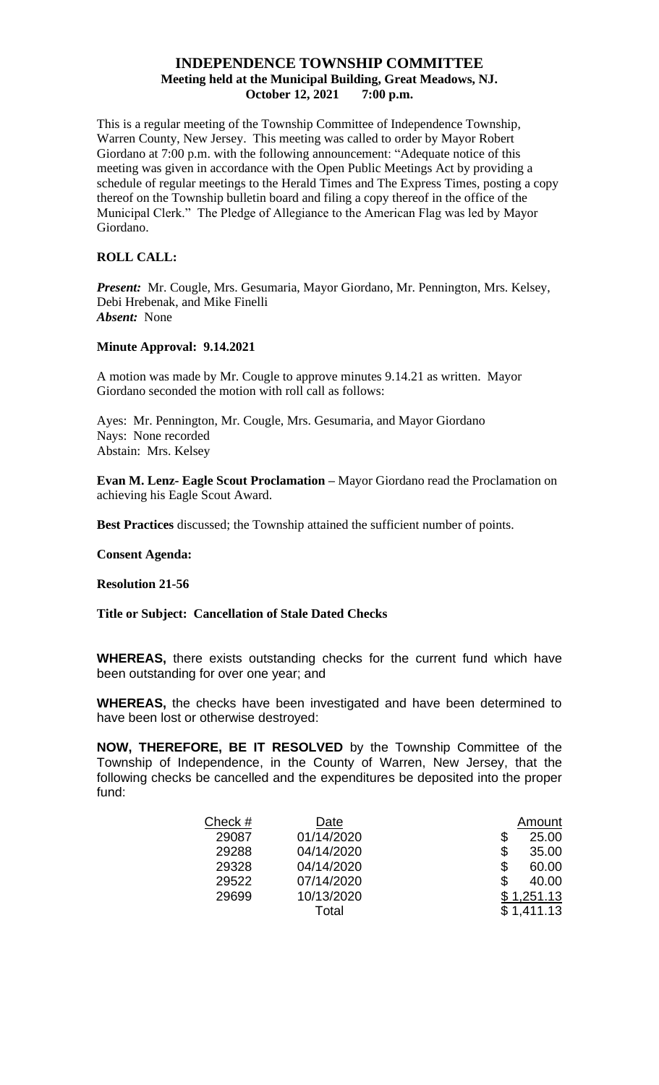# **INDEPENDENCE TOWNSHIP COMMITTEE Meeting held at the Municipal Building, Great Meadows, NJ. October 12, 2021 7:00 p.m.**

This is a regular meeting of the Township Committee of Independence Township, Warren County, New Jersey. This meeting was called to order by Mayor Robert Giordano at 7:00 p.m. with the following announcement: "Adequate notice of this meeting was given in accordance with the Open Public Meetings Act by providing a schedule of regular meetings to the Herald Times and The Express Times, posting a copy thereof on the Township bulletin board and filing a copy thereof in the office of the Municipal Clerk." The Pledge of Allegiance to the American Flag was led by Mayor Giordano.

## **ROLL CALL:**

*Present:* Mr. Cougle, Mrs. Gesumaria, Mayor Giordano, Mr. Pennington, Mrs. Kelsey, Debi Hrebenak, and Mike Finelli *Absent:* None

## **Minute Approval: 9.14.2021**

A motion was made by Mr. Cougle to approve minutes 9.14.21 as written. Mayor Giordano seconded the motion with roll call as follows:

Ayes: Mr. Pennington, Mr. Cougle, Mrs. Gesumaria, and Mayor Giordano Nays: None recorded Abstain: Mrs. Kelsey

**Evan M. Lenz- Eagle Scout Proclamation –** Mayor Giordano read the Proclamation on achieving his Eagle Scout Award.

**Best Practices** discussed; the Township attained the sufficient number of points.

#### **Consent Agenda:**

## **Resolution 21-56**

## **Title or Subject: Cancellation of Stale Dated Checks**

**WHEREAS,** there exists outstanding checks for the current fund which have been outstanding for over one year; and

**WHEREAS,** the checks have been investigated and have been determined to have been lost or otherwise destroyed:

**NOW, THEREFORE, BE IT RESOLVED** by the Township Committee of the Township of Independence, in the County of Warren, New Jersey, that the following checks be cancelled and the expenditures be deposited into the proper fund:

| Check # | Date       | Amount      |
|---------|------------|-------------|
| 29087   | 01/14/2020 | \$<br>25.00 |
| 29288   | 04/14/2020 | \$<br>35.00 |
| 29328   | 04/14/2020 | \$<br>60.00 |
| 29522   | 07/14/2020 | 40.00       |
| 29699   | 10/13/2020 | \$1,251.13  |
|         | Total      | \$1,411.13  |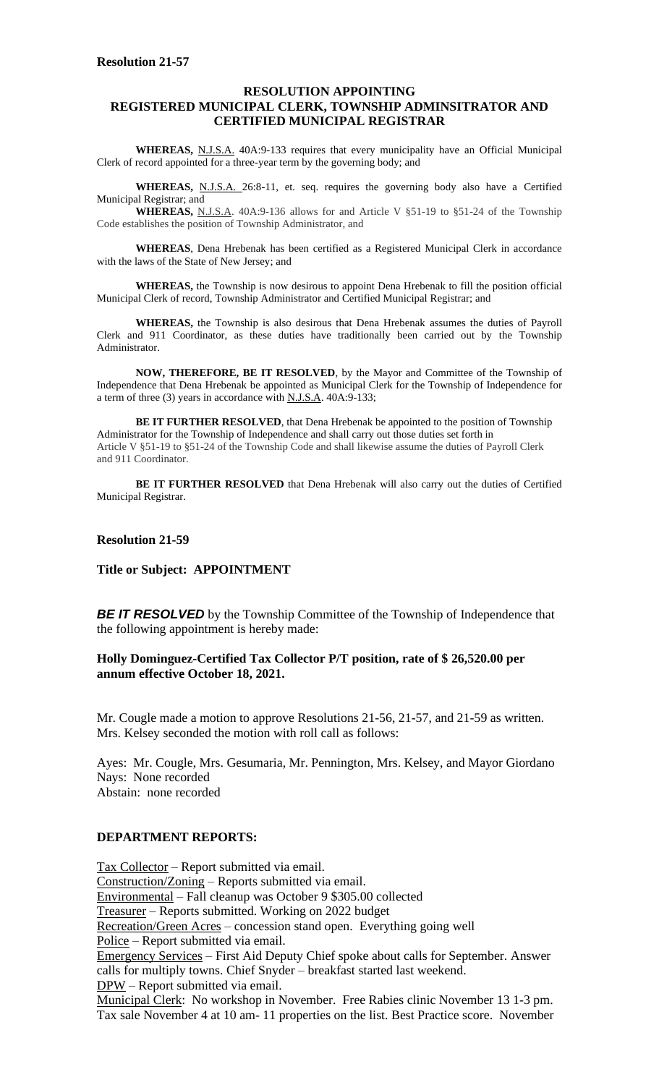#### **RESOLUTION APPOINTING REGISTERED MUNICIPAL CLERK, TOWNSHIP ADMINSITRATOR AND CERTIFIED MUNICIPAL REGISTRAR**

**WHEREAS,** N.J.S.A. 40A:9-133 requires that every municipality have an Official Municipal Clerk of record appointed for a three-year term by the governing body; and

**WHEREAS,** N.J.S.A. 26:8-11, et. seq. requires the governing body also have a Certified Municipal Registrar; and

**WHEREAS,** N.J.S.A. 40A:9-136 allows for and Article V §51-19 to §51-24 of the Township Code establishes the position of Township Administrator, and

**WHEREAS**, Dena Hrebenak has been certified as a Registered Municipal Clerk in accordance with the laws of the State of New Jersey; and

**WHEREAS,** the Township is now desirous to appoint Dena Hrebenak to fill the position official Municipal Clerk of record, Township Administrator and Certified Municipal Registrar; and

**WHEREAS,** the Township is also desirous that Dena Hrebenak assumes the duties of Payroll Clerk and 911 Coordinator, as these duties have traditionally been carried out by the Township Administrator.

**NOW, THEREFORE, BE IT RESOLVED**, by the Mayor and Committee of the Township of Independence that Dena Hrebenak be appointed as Municipal Clerk for the Township of Independence for a term of three (3) years in accordance with N.J.S.A. 40A:9-133;

**BE IT FURTHER RESOLVED**, that Dena Hrebenak be appointed to the position of Township Administrator for the Township of Independence and shall carry out those duties set forth in Article V §51-19 to §51-24 of the Township Code and shall likewise assume the duties of Payroll Clerk and 911 Coordinator.

BE IT FURTHER RESOLVED that Dena Hrebenak will also carry out the duties of Certified Municipal Registrar.

#### **Resolution 21-59**

## **Title or Subject: APPOINTMENT**

**BE IT RESOLVED** by the Township Committee of the Township of Independence that the following appointment is hereby made:

#### **Holly Dominguez-Certified Tax Collector P/T position, rate of \$ 26,520.00 per annum effective October 18, 2021.**

Mr. Cougle made a motion to approve Resolutions 21-56, 21-57, and 21-59 as written. Mrs. Kelsey seconded the motion with roll call as follows:

Ayes: Mr. Cougle, Mrs. Gesumaria, Mr. Pennington, Mrs. Kelsey, and Mayor Giordano Nays: None recorded Abstain: none recorded

## **DEPARTMENT REPORTS:**

Tax Collector – Report submitted via email. Construction/Zoning – Reports submitted via email. Environmental – Fall cleanup was October 9 \$305.00 collected Treasurer – Reports submitted. Working on 2022 budget Recreation/Green Acres – concession stand open. Everything going well Police – Report submitted via email. Emergency Services – First Aid Deputy Chief spoke about calls for September. Answer calls for multiply towns. Chief Snyder – breakfast started last weekend. DPW – Report submitted via email.

Municipal Clerk: No workshop in November. Free Rabies clinic November 13 1-3 pm. Tax sale November 4 at 10 am- 11 properties on the list. Best Practice score. November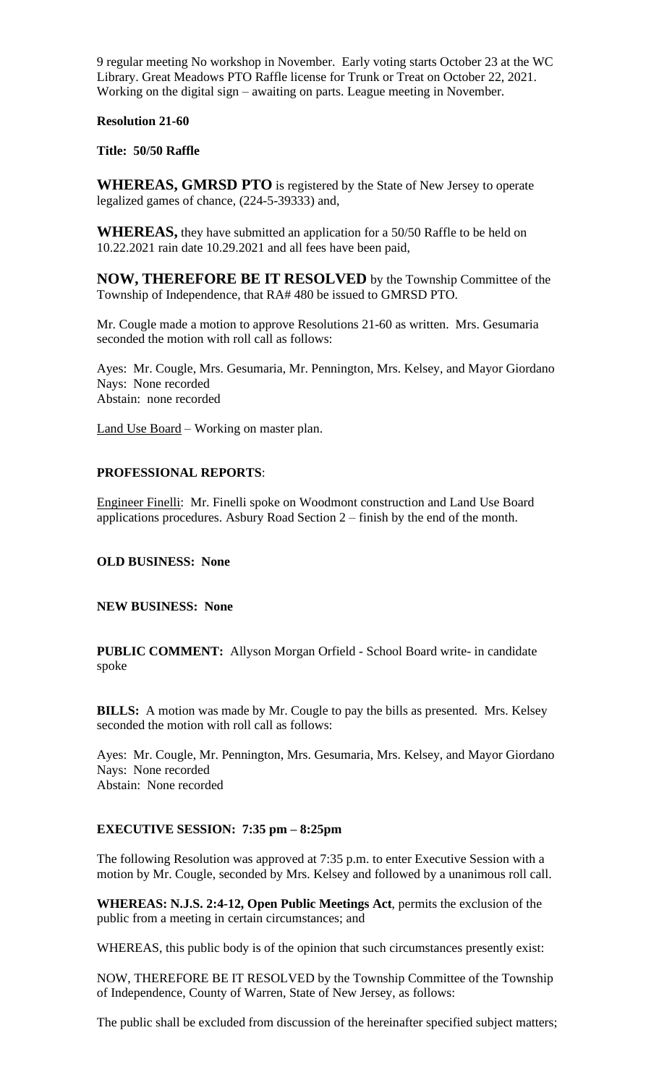9 regular meeting No workshop in November. Early voting starts October 23 at the WC Library. Great Meadows PTO Raffle license for Trunk or Treat on October 22, 2021. Working on the digital sign – awaiting on parts. League meeting in November.

## **Resolution 21-60**

**Title: 50/50 Raffle**

**WHEREAS, GMRSD PTO** is registered by the State of New Jersey to operate legalized games of chance, (224-5-39333) and,

**WHEREAS,** they have submitted an application for a 50/50 Raffle to be held on 10.22.2021 rain date 10.29.2021 and all fees have been paid,

**NOW, THEREFORE BE IT RESOLVED** by the Township Committee of the Township of Independence, that RA# 480 be issued to GMRSD PTO.

Mr. Cougle made a motion to approve Resolutions 21-60 as written. Mrs. Gesumaria seconded the motion with roll call as follows:

Ayes: Mr. Cougle, Mrs. Gesumaria, Mr. Pennington, Mrs. Kelsey, and Mayor Giordano Nays: None recorded Abstain: none recorded

Land Use Board – Working on master plan.

# **PROFESSIONAL REPORTS**:

Engineer Finelli: Mr. Finelli spoke on Woodmont construction and Land Use Board applications procedures. Asbury Road Section 2 – finish by the end of the month.

**OLD BUSINESS: None**

**NEW BUSINESS: None**

**PUBLIC COMMENT:** Allyson Morgan Orfield - School Board write- in candidate spoke

**BILLS:** A motion was made by Mr. Cougle to pay the bills as presented. Mrs. Kelsey seconded the motion with roll call as follows:

Ayes: Mr. Cougle, Mr. Pennington, Mrs. Gesumaria, Mrs. Kelsey, and Mayor Giordano Nays: None recorded Abstain: None recorded

## **EXECUTIVE SESSION: 7:35 pm – 8:25pm**

The following Resolution was approved at 7:35 p.m. to enter Executive Session with a motion by Mr. Cougle, seconded by Mrs. Kelsey and followed by a unanimous roll call.

**WHEREAS: N.J.S. 2:4-12, Open Public Meetings Act**, permits the exclusion of the public from a meeting in certain circumstances; and

WHEREAS, this public body is of the opinion that such circumstances presently exist:

NOW, THEREFORE BE IT RESOLVED by the Township Committee of the Township of Independence, County of Warren, State of New Jersey, as follows:

The public shall be excluded from discussion of the hereinafter specified subject matters;